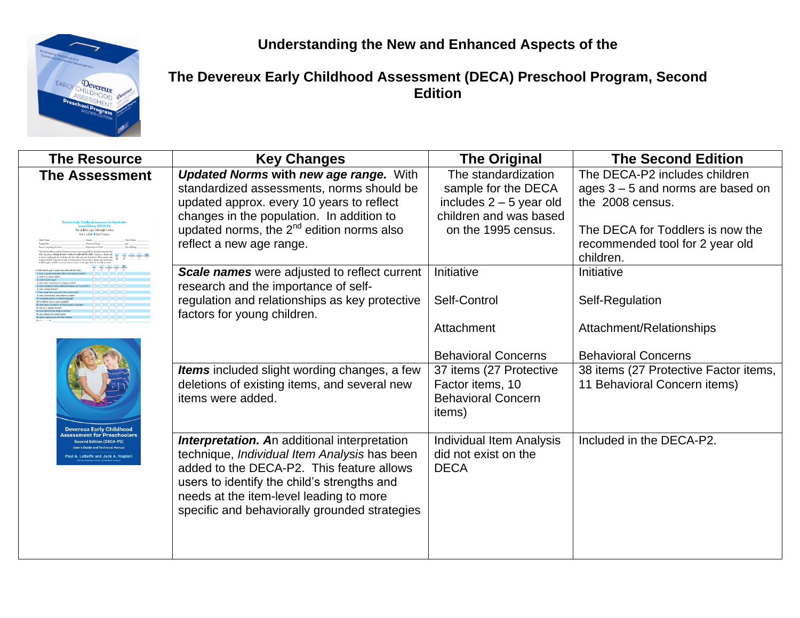**Understanding the New and Enhanced Aspects of the**



**The Devereux Early Childhood Assessment (DECA) Preschool Program, Second Edition**

| <b>The Resource</b>                                                     | <b>Key Changes</b>                                                                   | <b>The Original</b>                 | <b>The Second Edition</b>             |
|-------------------------------------------------------------------------|--------------------------------------------------------------------------------------|-------------------------------------|---------------------------------------|
| <b>The Assessment</b>                                                   | <b>Updated Norms with new age range. With</b>                                        | The standardization                 | The DECA-P2 includes children         |
|                                                                         | standardized assessments, norms should be                                            | sample for the DECA                 | ages $3 - 5$ and norms are based on   |
|                                                                         | updated approx. every 10 years to reflect                                            | includes $2 - 5$ year old           | the 2008 census.                      |
| and Edition (DECA-P2)                                                   | changes in the population. In addition to                                            | children and was based              |                                       |
| for children ages 3 through 5 years)<br>hal A. Lellaffe . Inch A. Nashe | updated norms, the 2 <sup>nd</sup> edition norms also                                | on the 1995 census.                 | The DECA for Toddlers is now the      |
|                                                                         | reflect a new age range.                                                             |                                     | recommended tool for 2 year old       |
|                                                                         |                                                                                      |                                     | children.                             |
|                                                                         | Scale names were adjusted to reflect current<br>research and the importance of self- | Initiative                          | Initiative                            |
| m unisterested in other children or adul                                | regulation and relationships as key protective<br>factors for young children.        | Self-Control                        | Self-Regulation                       |
|                                                                         |                                                                                      | Attachment                          | Attachment/Relationships              |
|                                                                         |                                                                                      | <b>Behavioral Concerns</b>          | <b>Behavioral Concerns</b>            |
|                                                                         | Items included slight wording changes, a few                                         | 37 items (27 Protective             | 38 items (27 Protective Factor items, |
|                                                                         | deletions of existing items, and several new                                         | Factor items, 10                    | 11 Behavioral Concern items)          |
|                                                                         | items were added.                                                                    | <b>Behavioral Concern</b><br>items) |                                       |
| <b>Devereux Early Childhood</b><br>sment for Preschoolers               |                                                                                      |                                     |                                       |
| econd Edition (DECA-P2)<br>ser's Guide and Technical Mar                | <b>Interpretation. An additional interpretation</b>                                  | <b>Individual Item Analysis</b>     | Included in the DECA-P2.              |
| Paul A. LeBuffe and Jack A. Naglieri                                    | technique, <i>Individual Item Analysis</i> has been                                  | did not exist on the                |                                       |
|                                                                         | added to the DECA-P2. This feature allows                                            | <b>DECA</b>                         |                                       |
|                                                                         | users to identify the child's strengths and                                          |                                     |                                       |
|                                                                         | needs at the item-level leading to more                                              |                                     |                                       |
|                                                                         | specific and behaviorally grounded strategies                                        |                                     |                                       |
|                                                                         |                                                                                      |                                     |                                       |
|                                                                         |                                                                                      |                                     |                                       |